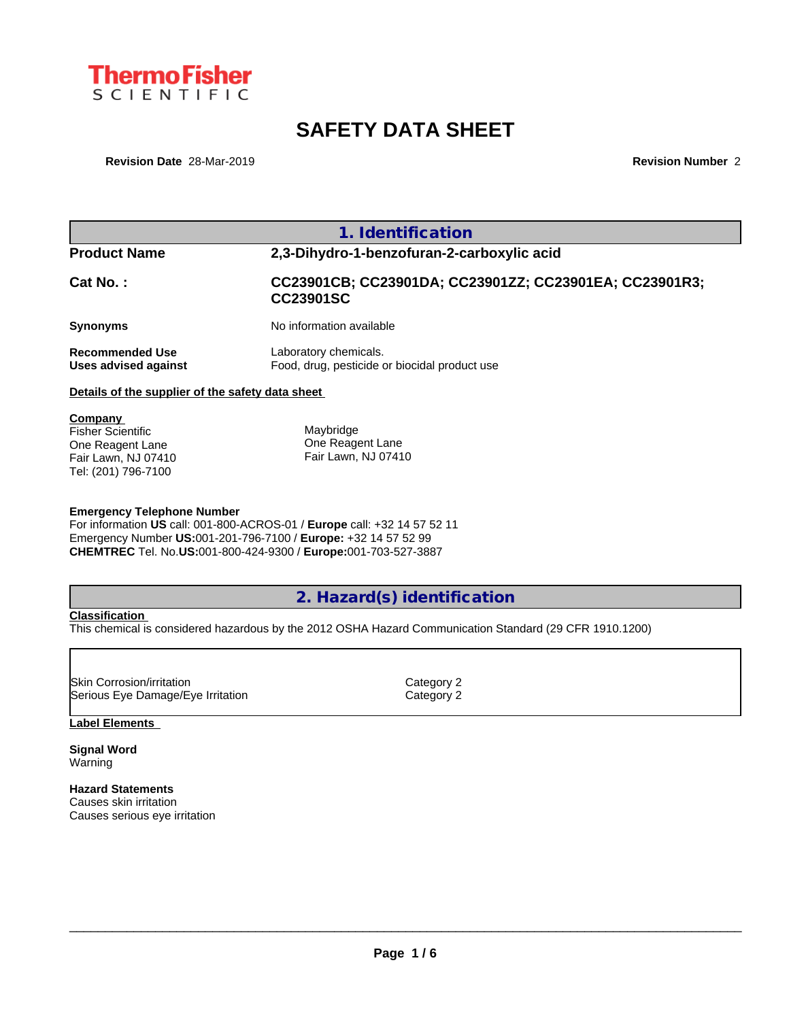

# **SAFETY DATA SHEET**

**Revision Date** 28-Mar-2019 **Revision Number** 2

|                                                                                | 1. Identification                                                          |
|--------------------------------------------------------------------------------|----------------------------------------------------------------------------|
| <b>Product Name</b>                                                            | 2,3-Dihydro-1-benzofuran-2-carboxylic acid                                 |
| Cat No.:                                                                       | CC23901CB; CC23901DA; CC23901ZZ; CC23901EA; CC23901R3;<br><b>CC23901SC</b> |
| <b>Synonyms</b>                                                                | No information available                                                   |
| <b>Recommended Use</b><br>Uses advised against                                 | Laboratory chemicals.<br>Food, drug, pesticide or biocidal product use     |
| Details of the supplier of the safety data sheet                               |                                                                            |
| Company<br><b>Fisher Scientific</b><br>One Reagent Lane<br>Fair Lawn, NJ 07410 | Maybridge<br>One Reagent Lane<br>Fair Lawn, NJ 07410                       |

#### **Emergency Telephone Number**

For information **US** call: 001-800-ACROS-01 / **Europe** call: +32 14 57 52 11 Emergency Number **US:**001-201-796-7100 / **Europe:** +32 14 57 52 99 **CHEMTREC** Tel. No.**US:**001-800-424-9300 / **Europe:**001-703-527-3887

## **2. Hazard(s) identification**

#### **Classification**

Tel: (201) 796-7100

This chemical is considered hazardous by the 2012 OSHA Hazard Communication Standard (29 CFR 1910.1200)

| <b>ISkin Corrosion/irritation</b> | Category 2 |  |
|-----------------------------------|------------|--|
| Serious Eye Damage/Eye Irritation | Category 2 |  |

### **Label Elements**

**Signal Word** Warning

#### **Hazard Statements**

Causes skin irritation Causes serious eye irritation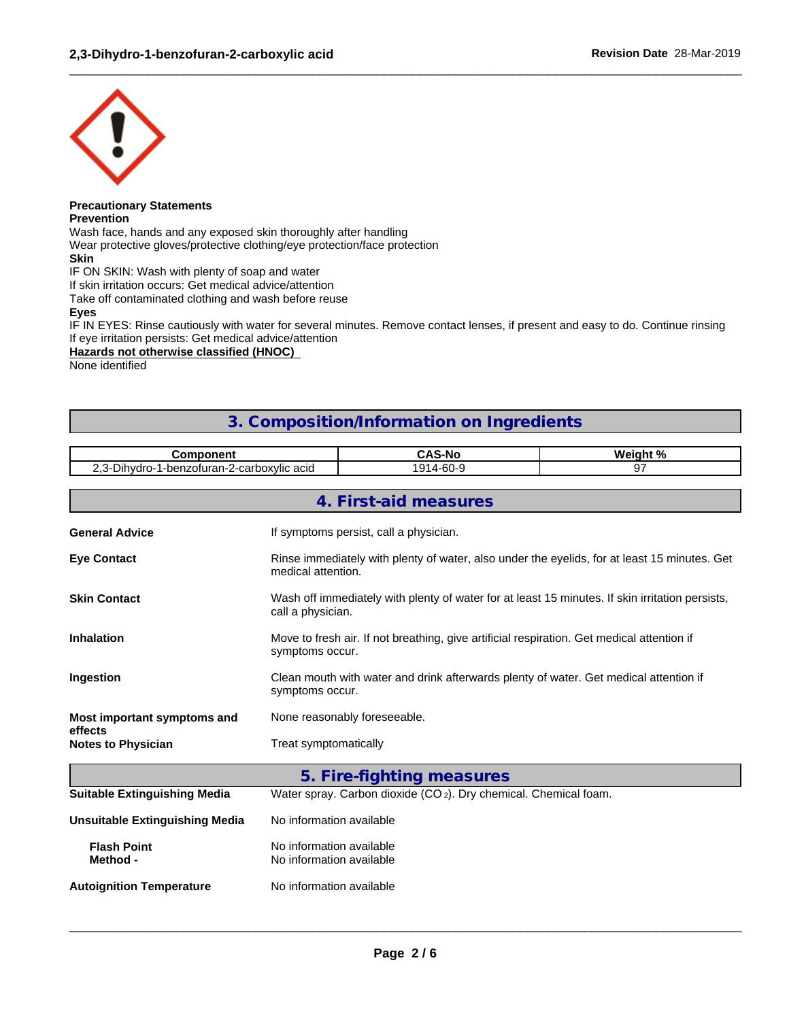

## **Precautionary Statements**

**Prevention**

Wash face, hands and any exposed skin thoroughly after handling

Wear protective gloves/protective clothing/eye protection/face protection **Skin**

IF ON SKIN: Wash with plenty of soap and water

If skin irritation occurs: Get medical advice/attention

Take off contaminated clothing and wash before reuse

**Eyes**

IF IN EYES: Rinse cautiously with water for several minutes. Remove contact lenses, if present and easy to do. Continue rinsing If eye irritation persists: Get medical advice/attention

 $\_$  ,  $\_$  ,  $\_$  ,  $\_$  ,  $\_$  ,  $\_$  ,  $\_$  ,  $\_$  ,  $\_$  ,  $\_$  ,  $\_$  ,  $\_$  ,  $\_$  ,  $\_$  ,  $\_$  ,  $\_$  ,  $\_$  ,  $\_$  ,  $\_$  ,  $\_$  ,  $\_$  ,  $\_$  ,  $\_$  ,  $\_$  ,  $\_$  ,  $\_$  ,  $\_$  ,  $\_$  ,  $\_$  ,  $\_$  ,  $\_$  ,  $\_$  ,  $\_$  ,  $\_$  ,  $\_$  ,  $\_$  ,  $\_$  ,

#### **Hazards not otherwise classified (HNOC)**

None identified

## **3. Composition/Information on Ingredients**

| nmnnnent<br>יווסו                                                                     | <b>CAS-No</b>                | . ດ.<br><br><b>WAIN</b><br>70 |
|---------------------------------------------------------------------------------------|------------------------------|-------------------------------|
| $\sim$ $\cdot$<br>-2-carboxylic acid<br>∖ıhvdr∩<br>-benzoturan <sub>'</sub><br>$\sim$ | $4 - 60 - 9$<br>.<br>u1<br>ີ | $\sim$ -                      |
|                                                                                       |                              |                               |
|                                                                                       |                              |                               |

|                                        | 4. First-aid measures                                                                                                |
|----------------------------------------|----------------------------------------------------------------------------------------------------------------------|
| <b>General Advice</b>                  | If symptoms persist, call a physician.                                                                               |
| <b>Eye Contact</b>                     | Rinse immediately with plenty of water, also under the eyelids, for at least 15 minutes. Get<br>medical attention.   |
| <b>Skin Contact</b>                    | Wash off immediately with plenty of water for at least 15 minutes. If skin irritation persists,<br>call a physician. |
| <b>Inhalation</b>                      | Move to fresh air. If not breathing, give artificial respiration. Get medical attention if<br>symptoms occur.        |
| Ingestion                              | Clean mouth with water and drink afterwards plenty of water. Get medical attention if<br>symptoms occur.             |
| Most important symptoms and<br>effects | None reasonably foreseeable.                                                                                         |
| <b>Notes to Physician</b>              | Treat symptomatically                                                                                                |
|                                        | 5. Fire-fighting measures                                                                                            |
| <b>Suitable Extinguishing Media</b>    | Water spray. Carbon dioxide $(CO_2)$ . Dry chemical. Chemical foam.                                                  |
| <b>Unsuitable Extinguishing Media</b>  | No information available                                                                                             |
| <b>Flash Point</b><br>Method -         | No information available<br>No information available                                                                 |
| <b>Autoignition Temperature</b>        | No information available                                                                                             |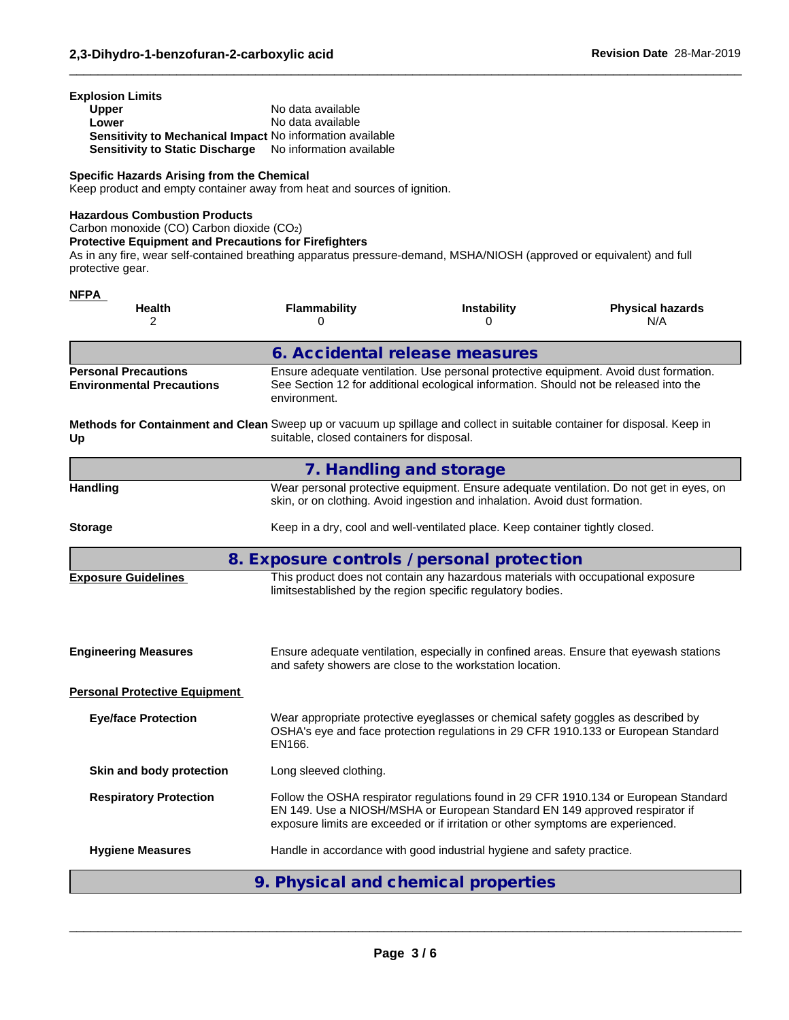| <b>Explosion Limits</b>                                   |                          |
|-----------------------------------------------------------|--------------------------|
| <b>Upper</b>                                              | No data available        |
| Lower                                                     | No data available        |
| Sensitivity to Mechanical Impact No information available |                          |
| <b>Sensitivity to Static Discharge</b>                    | No information available |

#### **Specific Hazards Arising from the Chemical**

Keep product and empty container away from heat and sources of ignition.

#### **Hazardous Combustion Products**

**NFPA** 

Carbon monoxide (CO) Carbon dioxide (CO2)

**Protective Equipment and Precautions for Firefighters**

As in any fire, wear self-contained breathing apparatus pressure-demand, MSHA/NIOSH (approved or equivalent) and full protective gear.

 $\_$  ,  $\_$  ,  $\_$  ,  $\_$  ,  $\_$  ,  $\_$  ,  $\_$  ,  $\_$  ,  $\_$  ,  $\_$  ,  $\_$  ,  $\_$  ,  $\_$  ,  $\_$  ,  $\_$  ,  $\_$  ,  $\_$  ,  $\_$  ,  $\_$  ,  $\_$  ,  $\_$  ,  $\_$  ,  $\_$  ,  $\_$  ,  $\_$  ,  $\_$  ,  $\_$  ,  $\_$  ,  $\_$  ,  $\_$  ,  $\_$  ,  $\_$  ,  $\_$  ,  $\_$  ,  $\_$  ,  $\_$  ,  $\_$  ,

| .<br>Health<br>$\overline{2}$                                                                                                  | <b>Flammability</b><br>0                  | <b>Instability</b><br>$\Omega$                                                                                                                                                 | <b>Physical hazards</b><br>N/A                                                       |
|--------------------------------------------------------------------------------------------------------------------------------|-------------------------------------------|--------------------------------------------------------------------------------------------------------------------------------------------------------------------------------|--------------------------------------------------------------------------------------|
|                                                                                                                                |                                           | 6. Accidental release measures                                                                                                                                                 |                                                                                      |
| <b>Personal Precautions</b><br><b>Environmental Precautions</b>                                                                | environment.                              | Ensure adequate ventilation. Use personal protective equipment. Avoid dust formation.<br>See Section 12 for additional ecological information. Should not be released into the |                                                                                      |
| Methods for Containment and Clean Sweep up or vacuum up spillage and collect in suitable container for disposal. Keep in<br>Up | suitable, closed containers for disposal. |                                                                                                                                                                                |                                                                                      |
|                                                                                                                                |                                           | 7. Handling and storage                                                                                                                                                        |                                                                                      |
| <b>Handling</b>                                                                                                                |                                           | Wear personal protective equipment. Ensure adequate ventilation. Do not get in eyes, on<br>skin, or on clothing. Avoid ingestion and inhalation. Avoid dust formation.         |                                                                                      |
| <b>Storage</b>                                                                                                                 |                                           | Keep in a dry, cool and well-ventilated place. Keep container tightly closed.                                                                                                  |                                                                                      |
|                                                                                                                                |                                           | 8. Exposure controls / personal protection                                                                                                                                     |                                                                                      |
| <b>Exposure Guidelines</b>                                                                                                     |                                           | This product does not contain any hazardous materials with occupational exposure<br>limitsestablished by the region specific regulatory bodies.                                |                                                                                      |
| <b>Engineering Measures</b>                                                                                                    |                                           | Ensure adequate ventilation, especially in confined areas. Ensure that eyewash stations<br>and safety showers are close to the workstation location.                           |                                                                                      |
| <b>Personal Protective Equipment</b>                                                                                           |                                           |                                                                                                                                                                                |                                                                                      |
| <b>Eye/face Protection</b>                                                                                                     | EN166.                                    | Wear appropriate protective eyeglasses or chemical safety goggles as described by<br>OSHA's eye and face protection regulations in 29 CFR 1910.133 or European Standard        |                                                                                      |
| Skin and body protection                                                                                                       | Long sleeved clothing.                    |                                                                                                                                                                                |                                                                                      |
| <b>Respiratory Protection</b>                                                                                                  |                                           | EN 149. Use a NIOSH/MSHA or European Standard EN 149 approved respirator if<br>exposure limits are exceeded or if irritation or other symptoms are experienced.                | Follow the OSHA respirator regulations found in 29 CFR 1910.134 or European Standard |
| <b>Hygiene Measures</b>                                                                                                        |                                           | Handle in accordance with good industrial hygiene and safety practice.                                                                                                         |                                                                                      |
|                                                                                                                                |                                           | 9. Physical and chemical properties                                                                                                                                            |                                                                                      |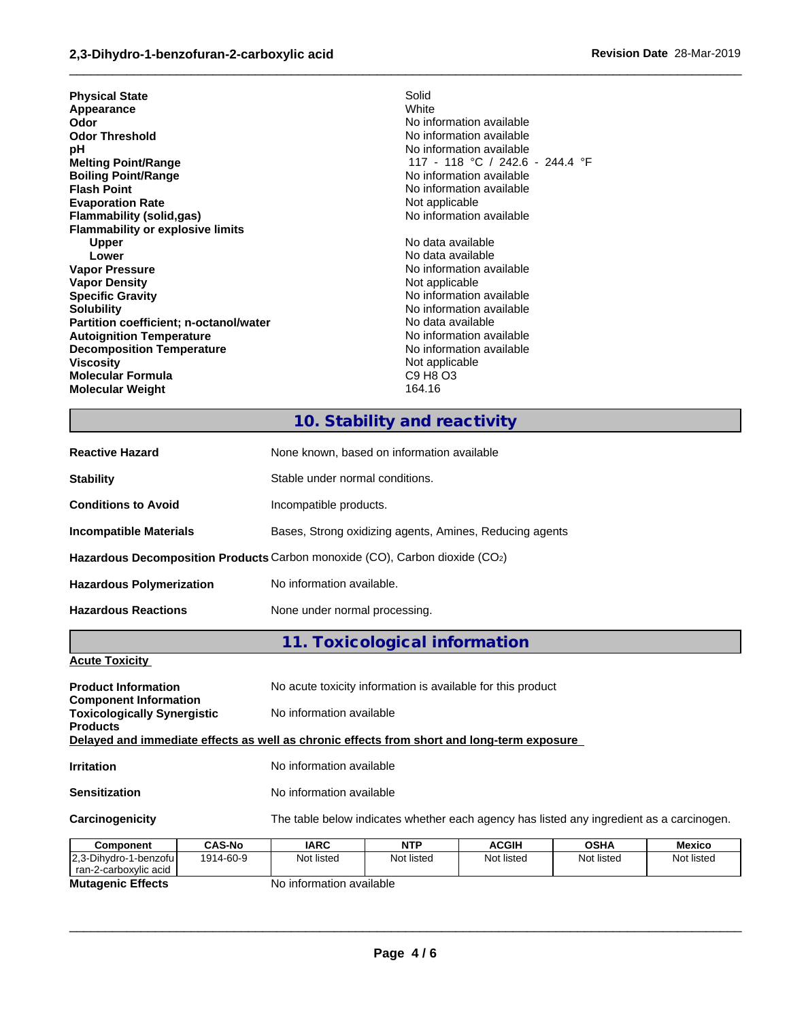| <b>Physical State</b><br>Appearance<br>Odor<br><b>Odor Threshold</b><br>рH<br><b>Melting Point/Range</b><br><b>Boiling Point/Range</b><br><b>Flash Point</b><br><b>Evaporation Rate</b><br>Flammability (solid,gas)<br><b>Flammability or explosive limits</b><br>Upper<br>Lower<br><b>Vapor Pressure</b><br><b>Vapor Density</b><br><b>Specific Gravity</b><br><b>Solubility</b><br>Partition coefficient; n-octanol/water<br><b>Autoignition Temperature</b><br><b>Decomposition Temperature</b><br><b>Viscosity</b> | Solid<br>White<br>No information available<br>No information available<br>No information available<br>117 - 118 °C / 242.6 - 244.4 °F<br>No information available<br>No information available<br>Not applicable<br>No information available<br>No data available<br>No data available<br>No information available<br>Not applicable<br>No information available<br>No information available<br>No data available<br>No information available<br>No information available<br>Not applicable |
|------------------------------------------------------------------------------------------------------------------------------------------------------------------------------------------------------------------------------------------------------------------------------------------------------------------------------------------------------------------------------------------------------------------------------------------------------------------------------------------------------------------------|--------------------------------------------------------------------------------------------------------------------------------------------------------------------------------------------------------------------------------------------------------------------------------------------------------------------------------------------------------------------------------------------------------------------------------------------------------------------------------------------|
|                                                                                                                                                                                                                                                                                                                                                                                                                                                                                                                        |                                                                                                                                                                                                                                                                                                                                                                                                                                                                                            |
|                                                                                                                                                                                                                                                                                                                                                                                                                                                                                                                        |                                                                                                                                                                                                                                                                                                                                                                                                                                                                                            |
| Molecular Formula                                                                                                                                                                                                                                                                                                                                                                                                                                                                                                      | C9 H8 O3                                                                                                                                                                                                                                                                                                                                                                                                                                                                                   |
| <b>Molecular Weight</b>                                                                                                                                                                                                                                                                                                                                                                                                                                                                                                | 164.16                                                                                                                                                                                                                                                                                                                                                                                                                                                                                     |
|                                                                                                                                                                                                                                                                                                                                                                                                                                                                                                                        |                                                                                                                                                                                                                                                                                                                                                                                                                                                                                            |

# **10. Stability and reactivity**

 $\_$  ,  $\_$  ,  $\_$  ,  $\_$  ,  $\_$  ,  $\_$  ,  $\_$  ,  $\_$  ,  $\_$  ,  $\_$  ,  $\_$  ,  $\_$  ,  $\_$  ,  $\_$  ,  $\_$  ,  $\_$  ,  $\_$  ,  $\_$  ,  $\_$  ,  $\_$  ,  $\_$  ,  $\_$  ,  $\_$  ,  $\_$  ,  $\_$  ,  $\_$  ,  $\_$  ,  $\_$  ,  $\_$  ,  $\_$  ,  $\_$  ,  $\_$  ,  $\_$  ,  $\_$  ,  $\_$  ,  $\_$  ,  $\_$  ,

| <b>Reactive Hazard</b>          | None known, based on information available                                  |
|---------------------------------|-----------------------------------------------------------------------------|
| <b>Stability</b>                | Stable under normal conditions.                                             |
| <b>Conditions to Avoid</b>      | Incompatible products.                                                      |
| Incompatible Materials          | Bases, Strong oxidizing agents, Amines, Reducing agents                     |
|                                 | Hazardous Decomposition Products Carbon monoxide (CO), Carbon dioxide (CO2) |
| <b>Hazardous Polymerization</b> | No information available.                                                   |
| <b>Hazardous Reactions</b>      | None under normal processing.                                               |

**11. Toxicological information**

### **Acute Toxicity**

| <b>Product Information</b>                                                                 |               |                          | No acute toxicity information is available for this product                              |              |             |            |
|--------------------------------------------------------------------------------------------|---------------|--------------------------|------------------------------------------------------------------------------------------|--------------|-------------|------------|
| <b>Component Information</b>                                                               |               |                          |                                                                                          |              |             |            |
| <b>Toxicologically Synergistic</b>                                                         |               | No information available |                                                                                          |              |             |            |
| <b>Products</b>                                                                            |               |                          |                                                                                          |              |             |            |
| Delayed and immediate effects as well as chronic effects from short and long-term exposure |               |                          |                                                                                          |              |             |            |
| <b>Irritation</b>                                                                          |               | No information available |                                                                                          |              |             |            |
| <b>Sensitization</b>                                                                       |               | No information available |                                                                                          |              |             |            |
| Carcinogenicity                                                                            |               |                          | The table below indicates whether each agency has listed any ingredient as a carcinogen. |              |             |            |
| Component                                                                                  | <b>CAS-No</b> | <b>IARC</b>              | <b>NTP</b>                                                                               | <b>ACGIH</b> | <b>OSHA</b> | Mexico     |
| 2.3-Dihydro-1-benzofu                                                                      | 1914-60-9     | Not listed               | Not listed                                                                               | Not listed   | Not listed  | Not listed |
|                                                                                            |               |                          |                                                                                          |              |             |            |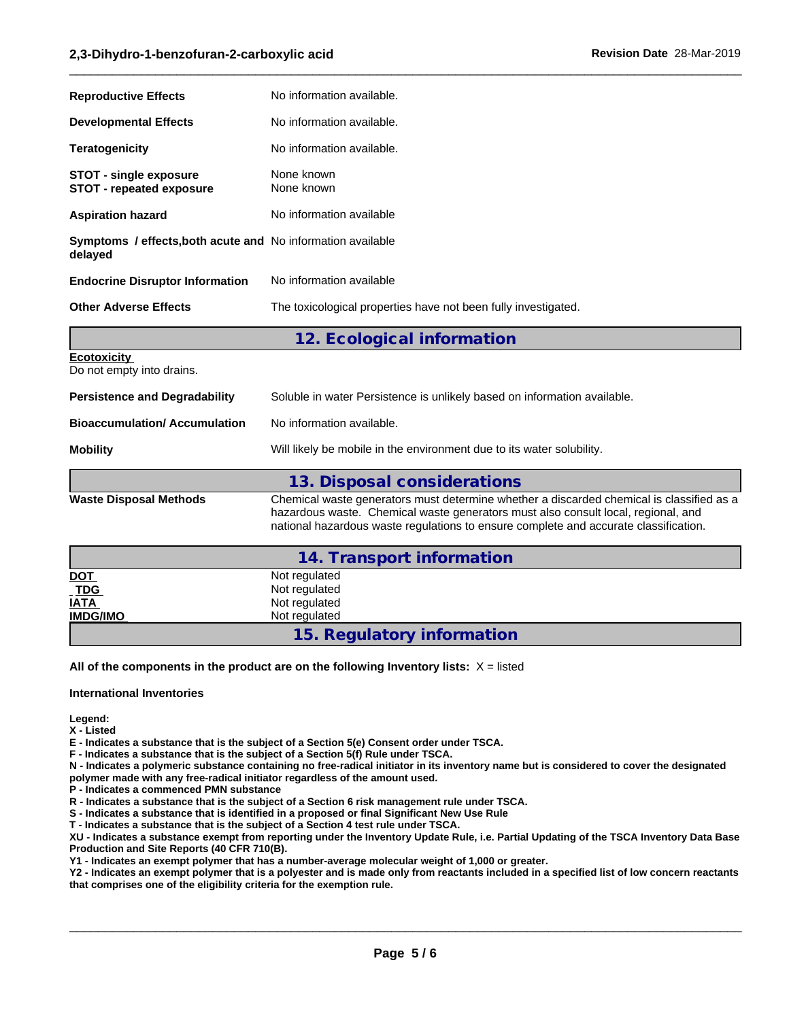| No information available.                                                                                                                                                                                                                                             |
|-----------------------------------------------------------------------------------------------------------------------------------------------------------------------------------------------------------------------------------------------------------------------|
| No information available.                                                                                                                                                                                                                                             |
| No information available.                                                                                                                                                                                                                                             |
| None known<br>None known                                                                                                                                                                                                                                              |
| No information available                                                                                                                                                                                                                                              |
| <b>Symptoms / effects, both acute and No information available</b>                                                                                                                                                                                                    |
| No information available                                                                                                                                                                                                                                              |
| The toxicological properties have not been fully investigated.                                                                                                                                                                                                        |
| 12. Ecological information                                                                                                                                                                                                                                            |
|                                                                                                                                                                                                                                                                       |
| Soluble in water Persistence is unlikely based on information available.                                                                                                                                                                                              |
| No information available.                                                                                                                                                                                                                                             |
| Will likely be mobile in the environment due to its water solubility.                                                                                                                                                                                                 |
| 13. Disposal considerations                                                                                                                                                                                                                                           |
| Chemical waste generators must determine whether a discarded chemical is classified as a<br>hazardous waste. Chemical waste generators must also consult local, regional, and<br>national hazardous waste regulations to ensure complete and accurate classification. |
| 14. Transport information                                                                                                                                                                                                                                             |
| Not regulated                                                                                                                                                                                                                                                         |
| Not regulated<br>Not regulated                                                                                                                                                                                                                                        |
| Not regulated                                                                                                                                                                                                                                                         |
|                                                                                                                                                                                                                                                                       |

 $\_$  ,  $\_$  ,  $\_$  ,  $\_$  ,  $\_$  ,  $\_$  ,  $\_$  ,  $\_$  ,  $\_$  ,  $\_$  ,  $\_$  ,  $\_$  ,  $\_$  ,  $\_$  ,  $\_$  ,  $\_$  ,  $\_$  ,  $\_$  ,  $\_$  ,  $\_$  ,  $\_$  ,  $\_$  ,  $\_$  ,  $\_$  ,  $\_$  ,  $\_$  ,  $\_$  ,  $\_$  ,  $\_$  ,  $\_$  ,  $\_$  ,  $\_$  ,  $\_$  ,  $\_$  ,  $\_$  ,  $\_$  ,  $\_$  ,

**15. Regulatory information**

**All of the components in the product are on the following Inventory lists:** X = listed

**International Inventories**

**Legend:**

**X - Listed**

**E - Indicates a substance that is the subject of a Section 5(e) Consent order under TSCA.**

**F - Indicates a substance that is the subject of a Section 5(f) Rule under TSCA.**

**N - Indicates a polymeric substance containing no free-radical initiator in its inventory name but is considered to cover the designated**

**polymer made with any free-radical initiator regardless of the amount used.**

**P - Indicates a commenced PMN substance**

**R - Indicates a substance that is the subject of a Section 6 risk management rule under TSCA.**

**S - Indicates a substance that is identified in a proposed or final Significant New Use Rule**

**T - Indicates a substance that is the subject of a Section 4 test rule under TSCA.**

**XU - Indicates a substance exempt from reporting under the Inventory Update Rule, i.e. Partial Updating of the TSCA Inventory Data Base Production and Site Reports (40 CFR 710(B).**

**Y1 - Indicates an exempt polymer that has a number-average molecular weight of 1,000 or greater.**

**Y2 - Indicates an exempt polymer that is a polyester and is made only from reactants included in a specified list of low concern reactants that comprises one of the eligibility criteria for the exemption rule.**